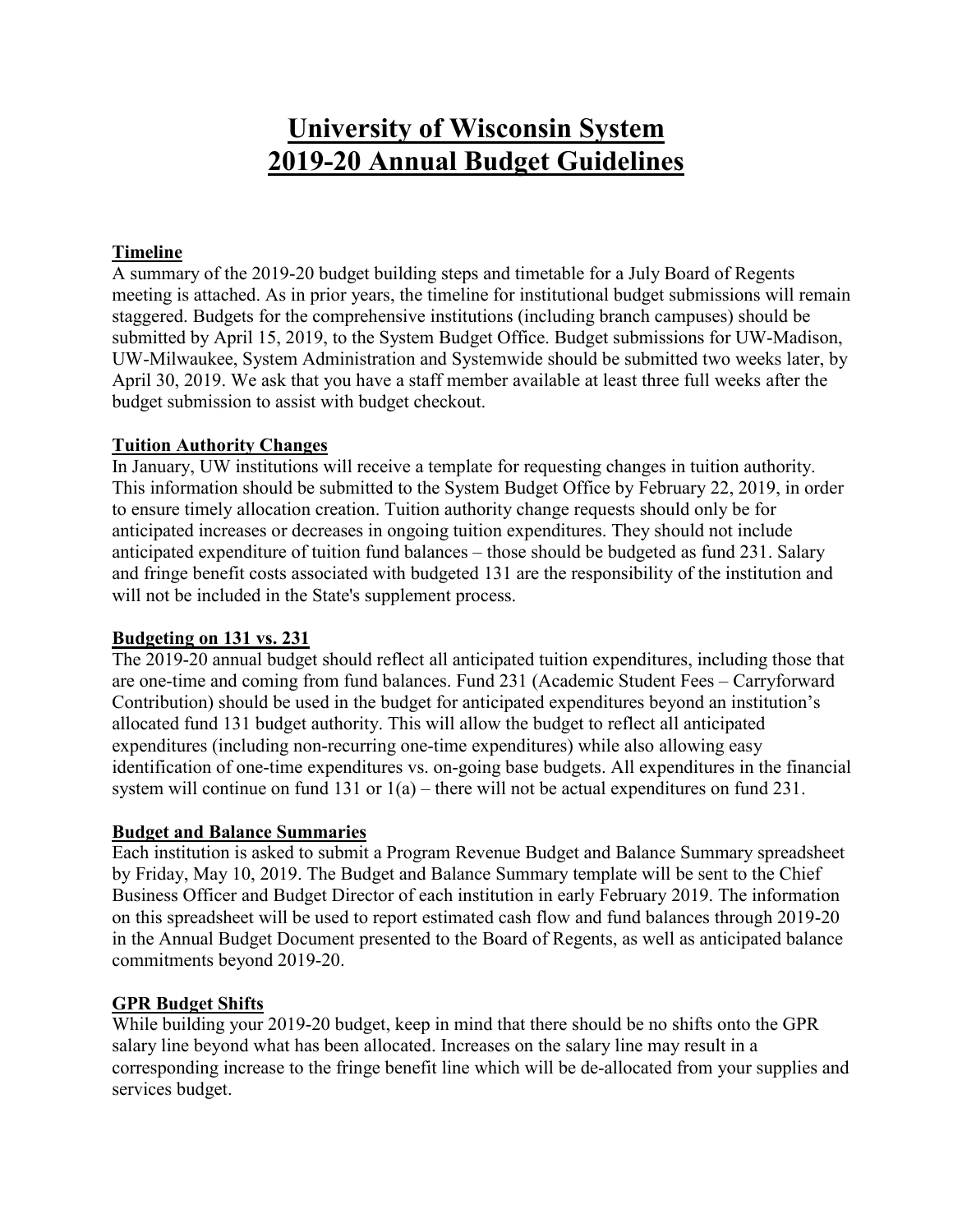# **University of Wisconsin System 2019-20 Annual Budget Guidelines**

## **Timeline**

A summary of the 2019-20 budget building steps and timetable for a July Board of Regents meeting is attached. As in prior years, the timeline for institutional budget submissions will remain staggered. Budgets for the comprehensive institutions (including branch campuses) should be submitted by April 15, 2019, to the System Budget Office. Budget submissions for UW-Madison, UW-Milwaukee, System Administration and Systemwide should be submitted two weeks later, by April 30, 2019. We ask that you have a staff member available at least three full weeks after the budget submission to assist with budget checkout.

#### **Tuition Authority Changes**

In January, UW institutions will receive a template for requesting changes in tuition authority. This information should be submitted to the System Budget Office by February 22, 2019, in order to ensure timely allocation creation. Tuition authority change requests should only be for anticipated increases or decreases in ongoing tuition expenditures. They should not include anticipated expenditure of tuition fund balances – those should be budgeted as fund 231. Salary and fringe benefit costs associated with budgeted 131 are the responsibility of the institution and will not be included in the State's supplement process.

## **Budgeting on 131 vs. 231**

The 2019-20 annual budget should reflect all anticipated tuition expenditures, including those that are one-time and coming from fund balances. Fund 231 (Academic Student Fees – Carryforward Contribution) should be used in the budget for anticipated expenditures beyond an institution's allocated fund 131 budget authority. This will allow the budget to reflect all anticipated expenditures (including non-recurring one-time expenditures) while also allowing easy identification of one-time expenditures vs. on-going base budgets. All expenditures in the financial system will continue on fund 131 or  $1(a)$  – there will not be actual expenditures on fund 231.

## **Budget and Balance Summaries**

Each institution is asked to submit a Program Revenue Budget and Balance Summary spreadsheet by Friday, May 10, 2019. The Budget and Balance Summary template will be sent to the Chief Business Officer and Budget Director of each institution in early February 2019. The information on this spreadsheet will be used to report estimated cash flow and fund balances through 2019-20 in the Annual Budget Document presented to the Board of Regents, as well as anticipated balance commitments beyond 2019-20.

## **GPR Budget Shifts**

While building your 2019-20 budget, keep in mind that there should be no shifts onto the GPR salary line beyond what has been allocated. Increases on the salary line may result in a corresponding increase to the fringe benefit line which will be de-allocated from your supplies and services budget.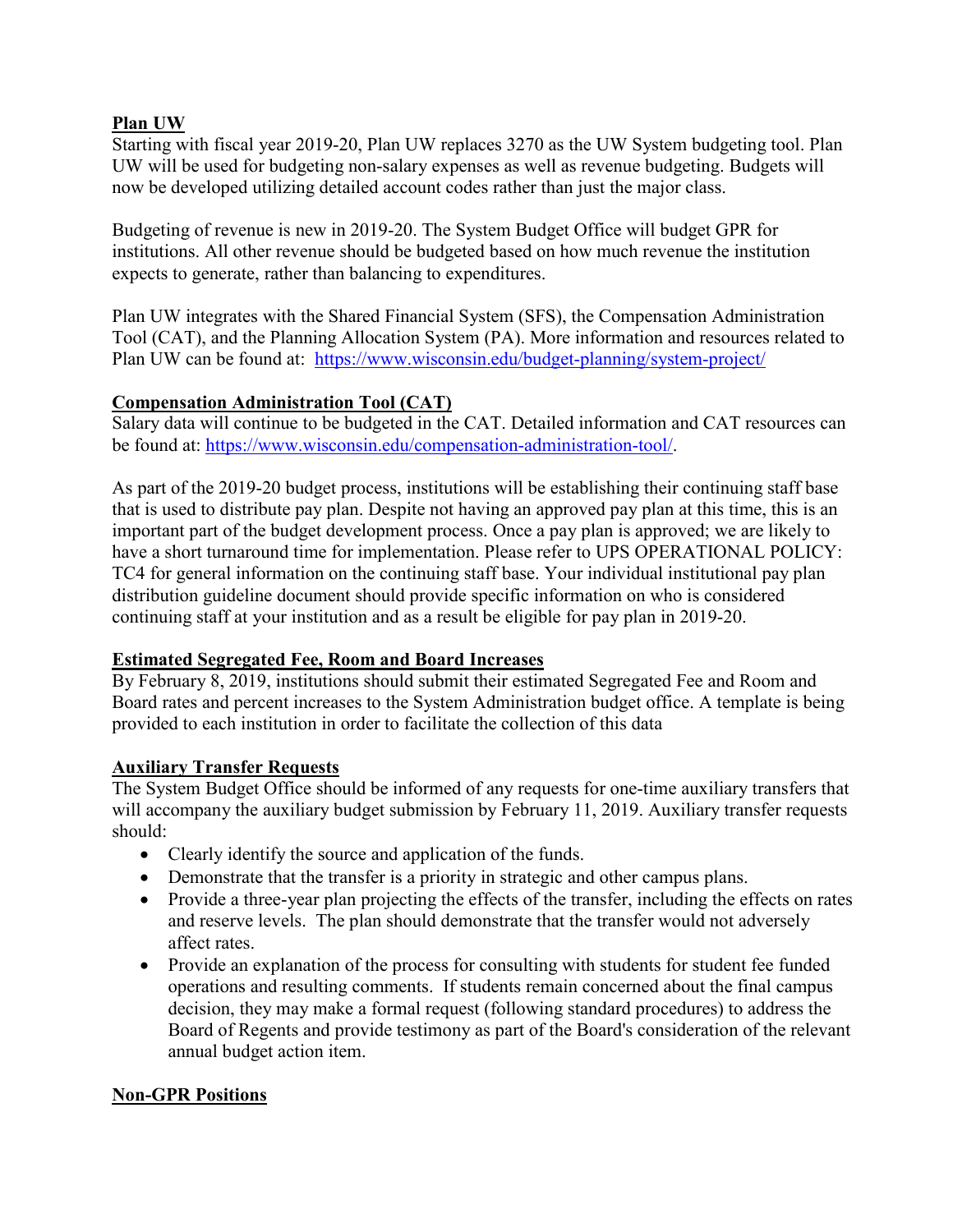### **Plan UW**

Starting with fiscal year 2019-20, Plan UW replaces 3270 as the UW System budgeting tool. Plan UW will be used for budgeting non-salary expenses as well as revenue budgeting. Budgets will now be developed utilizing detailed account codes rather than just the major class.

Budgeting of revenue is new in 2019-20. The System Budget Office will budget GPR for institutions. All other revenue should be budgeted based on how much revenue the institution expects to generate, rather than balancing to expenditures.

Plan UW integrates with the Shared Financial System (SFS), the Compensation Administration Tool (CAT), and the Planning Allocation System (PA). More information and resources related to Plan UW can be found at: <https://www.wisconsin.edu/budget-planning/system-project/>

## **Compensation Administration Tool (CAT)**

Salary data will continue to be budgeted in the CAT. Detailed information and CAT resources can be found at: [https://www.wisconsin.edu/compensation-administration-tool/.](https://www.wisconsin.edu/compensation-administration-tool/)

As part of the 2019-20 budget process, institutions will be establishing their continuing staff base that is used to distribute pay plan. Despite not having an approved pay plan at this time, this is an important part of the budget development process. Once a pay plan is approved; we are likely to have a short turnaround time for implementation. Please refer to UPS OPERATIONAL POLICY: TC4 for general information on the continuing staff base. Your individual institutional pay plan distribution guideline document should provide specific information on who is considered continuing staff at your institution and as a result be eligible for pay plan in 2019-20.

## **Estimated Segregated Fee, Room and Board Increases**

By February 8, 2019, institutions should submit their estimated Segregated Fee and Room and Board rates and percent increases to the System Administration budget office. A template is being provided to each institution in order to facilitate the collection of this data

## **Auxiliary Transfer Requests**

The System Budget Office should be informed of any requests for one-time auxiliary transfers that will accompany the auxiliary budget submission by February 11, 2019. Auxiliary transfer requests should:

- Clearly identify the source and application of the funds.
- Demonstrate that the transfer is a priority in strategic and other campus plans.
- Provide a three-year plan projecting the effects of the transfer, including the effects on rates and reserve levels. The plan should demonstrate that the transfer would not adversely affect rates.
- Provide an explanation of the process for consulting with students for student fee funded operations and resulting comments. If students remain concerned about the final campus decision, they may make a formal request (following standard procedures) to address the Board of Regents and provide testimony as part of the Board's consideration of the relevant annual budget action item.

## **Non-GPR Positions**